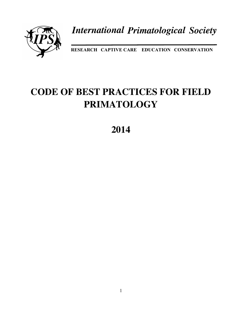

**International Primatological Society** 

**RESEARCH CAPTIVE CARE EDUCATION CONSERVATION**

# **CODE OF BEST PRACTICES FOR FIELD PRIMATOLOGY**

**2014**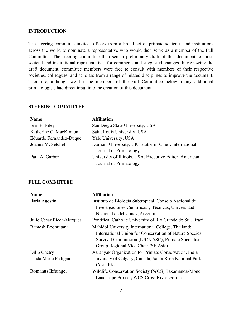### **INTRODUCTION**

The steering committee invited officers from a broad set of primate societies and institutions across the world to nominate a representative who would then serve as a member of the Full Committee. The steering committee then sent a preliminary draft of this document to those societal and institutional representatives for comments and suggested changes. In reviewing the draft document, committee members were free to consult with members of their respective societies, colleagues, and scholars from a range of related disciplines to improve the document. Therefore, although we list the members of the Full Committee below, many additional primatologists had direct input into the creation of this document.

# **STEERING COMMITTEE**

| <b>Name</b>             | <b>Affiliation</b>                                      |
|-------------------------|---------------------------------------------------------|
| Erin P. Riley           | San Diego State University, USA                         |
| Katherine C. MacKinnon  | Saint Louis University, USA                             |
| Eduardo Fernandez-Duque | Yale University, USA                                    |
| Joanna M. Setchell      | Durham University, UK, Editor-in-Chief, International   |
|                         | Journal of Primatology                                  |
| Paul A. Garber          | University of Illinois, USA, Executive Editor, American |
|                         | Journal of Primatology                                  |

#### **FULL COMMITTEE**

| <b>Name</b>               | <b>Affiliation</b>                                          |
|---------------------------|-------------------------------------------------------------|
| Ilaria Agostini           | Instituto de Biología Subtropical, Consejo Nacional de      |
|                           | Investigaciones Científicas y Técnicas, Universidad         |
|                           | Nacional de Misiones, Argentina                             |
| Julio Cesar Bicca-Marques | Pontifical Catholic University of Rio Grande do Sul, Brazil |
| Ramesh Boonratana         | Mahidol University International College, Thailand;         |
|                           | International Union for Conservation of Nature Species      |
|                           | Survival Commission (IUCN SSC), Primate Specialist          |
|                           | Group Regional Vice Chair (SE Asia)                         |
| Dilip Chetry              | Aaranyak Organization for Primate Conservation, India       |
| Linda Marie Fedigan       | University of Calgary, Canada; Santa Rosa National Park,    |
|                           | Costa Rica                                                  |
| Romanus Ikfuingei         | Wildlife Conservation Society (WCS) Takamanda-Mone          |
|                           | Landscape Project; WCS Cross River Gorilla                  |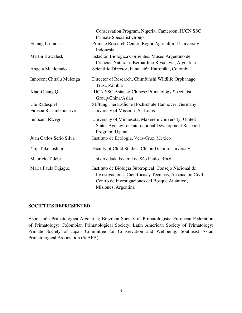|                          | Conservation Program, Nigeria, Cameroon; IUCN SSC                                                                                                                                            |
|--------------------------|----------------------------------------------------------------------------------------------------------------------------------------------------------------------------------------------|
|                          | Primate Specialist Group                                                                                                                                                                     |
| Entang Iskandar          | Primate Research Center, Bogor Agricultural University,<br>Indonesia                                                                                                                         |
| Martin Kowaleski         | Estación Biológica Corrientes, Museo Argentino de<br>Ciencias Naturales Bernardino Rivadavia, Argentina                                                                                      |
| Angela Maldonado         | Scientific Director, Fundación Entropika, Colombia                                                                                                                                           |
| Innocent Chitalu Mulenga | Director of Research, Chimfunshi Wildlife Orphanage<br>Trust, Zambia                                                                                                                         |
| Xiao-Guang Qi            | <b>IUCN SSC Asian &amp; Chinese Primatology Specialist</b><br>Group/China/Asian                                                                                                              |
| Ute Radespiel            | Stiftung Tierärztliche Hochschule Hannover, Germany                                                                                                                                          |
| Fidisoa Rasambainarivo   | University of Missouri, St. Louis                                                                                                                                                            |
| <b>Innocent Rwego</b>    | University of Minnesota; Makerere University; United<br><b>States Agency for International Development Respond</b><br>Program; Uganda                                                        |
| Juan Carlos Serio Silva  | Instituto de Ecologia, Vera-Cruz, Mexico                                                                                                                                                     |
| Yuji Takenoshita         | Faculty of Child Studies, Chubu-Gakuin University                                                                                                                                            |
| Mauricio Talebi          | Universidade Federal de São Paulo, Brazil                                                                                                                                                    |
| Maria Paula Tujague      | Instituto de Biología Subtropical, Consejo Nacional de<br>Investigaciones Científicas y Técnicas, Asociación Civil<br>Centro de Investigaciones del Bosque Atlántico,<br>Misiones, Argentina |

# **SOCIETIES REPRESENTED**

Asociación Primatológica Argentina; Brazilian Society of Primatologists; European Federation of Primatology; Colombian Primatological Society; Latin American Society of Primatology; Primate Society of Japan Committee for Conservation and Wellbeing; Southeast Asian Primatological Association (SeAPA).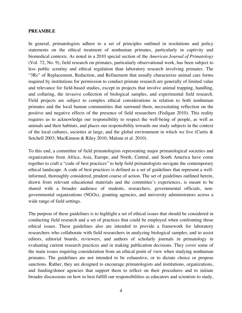#### **PREAMBLE**

In general, primatologists adhere to a set of principles outlined in resolutions and policy statements on the ethical treatment of nonhuman primates, particularly in captivity and biomedical contexts. As noted in a 2010 special section of the *American Journal of Primatology* (Vol. 72, No. 9), field research on primates, particularly observational work, has been subject to less public scrutiny and ethical regulation than laboratory research involving primates. The "3Rs" of Replacement, Reduction, and Refinement that usually characterize animal care forms required by institutions for permission to conduct primate research are generally of limited value and relevance for field-based studies, except in projects that involve animal trapping, handling, and collaring, the invasive collection of biological samples, and experimental field research. Field projects are subject to complex ethical considerations in relation to both nonhuman primates and the local human communities that surround them, necessitating reflection on the positive and negative effects of the presence of field researchers (Fedigan 2010). This reality requires us to acknowledge our responsibility to respect the well-being of people, as well as animals and their habitats, and places our responsibility towards our study subjects in the context of the local cultures, societies at large, and the global environment in which we live (Curtis & Setchell 2003; MacKinnon & Riley 2010; Malone et al. 2010).

To this end, a committee of field primatologists representing major primatological societies and organizations from Africa, Asia, Europe, and North, Central, and South America have come together to craft a "code of best practices" to help field primatologists navigate the contemporary ethical landscape. A code of best practices is defined as a set of guidelines that represent a wellinformed, thoroughly considered, prudent course of action. The set of guidelines outlined herein, drawn from relevant educational materials and the committee's experiences, is meant to be shared with a broader audience of students, researchers, governmental officials, nongovernmental organizations (NGOs), granting agencies, and university administrators across a wide range of field settings.

The purpose of these guidelines is to highlight a set of ethical issues that should be considered in conducting field research and a set of practices that could be employed when confronting those ethical issues. These guidelines also are intended to provide a framework for laboratory researchers who collaborate with field researchers in analyzing biological samples, and to assist editors, editorial boards, reviewers, and authors of scholarly journals in primatology in evaluating current research practices and in making publication decisions. They cover some of the main issues requiring consideration from an ethical point of view when studying nonhuman primates. The guidelines are not intended to be exhaustive, or to dictate choice or propose sanctions. Rather, they are designed to encourage primatologists and institutions, organizations, and funding/donor agencies that support them to reflect on their procedures and to initiate broader discussions on how to best fulfill our responsibilities as educators and scientists to study,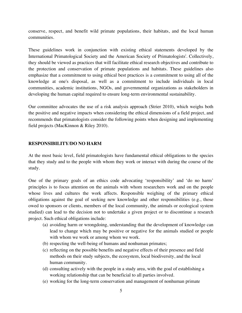conserve, respect, and benefit wild primate populations, their habitats, and the local human communities.

These guidelines work in conjunction with existing ethical statements developed by the International Primatological Society and the American Society of Primatologists<sup>i</sup>. Collectively, they should be viewed as practices that will facilitate ethical research objectives and contribute to the protection and conservation of primate populations and habitats. These guidelines also emphasize that a commitment to using ethical best practices is a commitment to using all of the knowledge at one's disposal, as well as a commitment to include individuals in local communities, academic institutions, NGOs, and governmental organizations as stakeholders in developing the human capital required to ensure long-term environmental sustainability.

Our committee advocates the use of a risk analysis approach (Strier 2010), which weighs both the positive and negative impacts when considering the ethical dimensions of a field project, and recommends that primatologists consider the following points when designing and implementing field projects (MacKinnon & Riley 2010).

# **RESPONSIBILITY/DO NO HARM**

At the most basic level, field primatologists have fundamental ethical obligations to the species that they study and to the people with whom they work or interact with during the course of the study.

One of the primary goals of an ethics code advocating 'responsibility' and 'do no harm' principles is to focus attention on the animals with whom researchers work and on the people whose lives and cultures the work affects. Responsible weighing of the primary ethical obligations against the goal of seeking new knowledge and other responsibilities (e.g., those owed to sponsors or clients, members of the local community, the animals or ecological system studied) can lead to the decision not to undertake a given project or to discontinue a research project. Such ethical obligations include:

- (a) avoiding harm or wrongdoing, understanding that the development of knowledge can lead to change which may be positive or negative for the animals studied or people with whom we work or among whom we work.
- (b) respecting the well-being of humans and nonhuman primates;
- (c) reflecting on the possible benefits and negative effects of their presence and field methods on their study subjects, the ecosystem, local biodiversity, and the local human community.
- (d) consulting actively with the people in a study area, with the goal of establishing a working relationship that can be beneficial to all parties involved.
- (e) working for the long-term conservation and management of nonhuman primate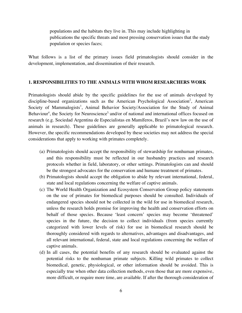populations and the habitats they live in. This may include highlighting in publications the specific threats and most pressing conservation issues that the study population or species faces;

What follows is a list of the primary issues field primatologists should consider in the development, implementation, and dissemination of their research.

#### **1. RESPONSIBILITIES TO THE ANIMALS WITH WHOM RESEARCHERS WORK**

Primatologists should abide by the specific guidelines for the use of animals developed by discipline-based organizations such as the American Psychological Association<sup>2</sup>, American Society of Mammalogists<sup>3</sup>, Animal Behavior Society/Association for the Study of Animal Behaviour<sup>4</sup>, the Society for Neuroscience<sup>5,</sup> and/or of national and international offices focused on research (e.g. Sociedad Argentina de Especialistas en Mamíferos, Brazil's new law on the use of animals in research). These guidelines are generally applicable to primatological research. However, the specific recommendations developed by these societies may not address the special considerations that apply to working with primates completely.

- (a) Primatologists should accept the responsibility of stewardship for nonhuman primates, and this responsibility must be reflected in our husbandry practices and research protocols whether in field, laboratory, or other settings. Primatologists can and should be the strongest advocates for the conservation and humane treatment of primates.
- (b) Primatologists should accept the obligation to abide by relevant international, federal, state and local regulations concerning the welfare of captive animals.
- (c) The World Health Organization and Ecosystem Conservation Group policy statements on the use of primates for biomedical purposes should be consulted. Individuals of endangered species should not be collected in the wild for use in biomedical research, unless the research holds promise for improving the health and conservation efforts on behalf of those species. Because 'least concern' species may become 'threatened' species in the future, the decision to collect individuals (from species currently categorized with lower levels of risk) for use in biomedical research should be thoroughly considered with regards to alternatives, advantages and disadvantages, and all relevant international, federal, state and local regulations concerning the welfare of captive animals.
- (d) In all cases, the potential benefits of any research should be evaluated against the potential risks to the nonhuman primate subjects. Killing wild primates to collect biomedical, genetic, physiological, or other information should be avoided. This is especially true when other data collection methods, even those that are more expensive, more difficult, or require more time, are available. If after the thorough consideration of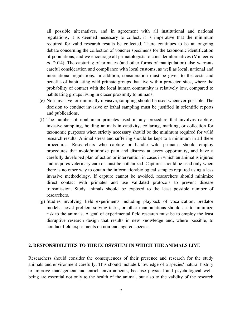all possible alternatives, and in agreement with all institutional and national regulations, it is deemed necessary to collect, it is imperative that the minimum required for valid research results be collected. There continues to be an ongoing debate concerning the collection of voucher specimens for the taxonomic identification of populations, and we encourage all primatologists to consider alternatives (Minteer *et al.* 2014). The capturing of primates (and other forms of manipulation) also warrants careful consideration and compliance with local customs, as well as local, national and international regulations. In addition, consideration must be given to the costs and benefits of habituating wild primate groups that live within protected sites, where the probability of contact with the local human community is relatively low, compared to habituating groups living in closer proximity to humans.

- (e) Non-invasive, or minimally invasive, sampling should be used whenever possible. The decision to conduct invasive or lethal sampling must be justified in scientific reports and publications.
- (f) The number of nonhuman primates used in any procedure that involves capture, invasive sampling, holding animals in captivity, collaring, marking, or collection for taxonomic purposes when strictly necessary should be the minimum required for valid research results. Animal stress and suffering should be kept to a minimum in all these procedures. Researchers who capture or handle wild primates should employ procedures that avoid/minimize pain and distress at every opportunity, and have a carefully developed plan of action or intervention in cases in which an animal is injured and requires veterinary care or must be euthanized. Captures should be used only when there is no other way to obtain the information/biological samples required using a less invasive methodology. If capture cannot be avoided, researchers should minimize direct contact with primates and use validated protocols to prevent disease transmission. Study animals should be exposed to the least possible number of researchers.
- (g) Studies involving field experiments including playback of vocalization, predator models, novel problem-solving tasks, or other manipulations should act to minimize risk to the animals. A goal of experimental field research must be to employ the least disruptive research design that results in new knowledge and, where possible, to conduct field experiments on non-endangered species.

# **2. RESPONSIBILITIES TO THE ECOSYSTEM IN WHICH THE ANIMALS LIVE**

Researchers should consider the consequences of their presence and research for the study animals and environment carefully. This should include knowledge of a species' natural history to improve management and enrich environments, because physical and psychological wellbeing are essential not only to the health of the animal, but also to the validity of the research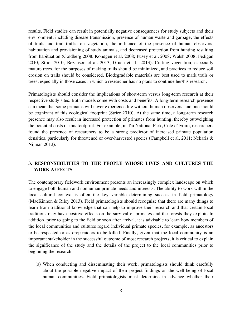results. Field studies can result in potentially negative consequences for study subjects and their environment, including disease transmission, presence of human waste and garbage, the effects of trails and trail traffic on vegetation, the influence of the presence of human observers, habituation and provisioning of study animals, and decreased protection from hunting resulting from habituation (Goldberg 2008; Köndgen et al. 2008; Pusey et al. 2008; Walsh 2008; Fedigan 2010; Strier 2010; Bezanson et al. 2013; Gruen et al., 2013). Cutting vegetation, especially mature trees, for the purposes of making trails should be minimized, and practices to reduce soil erosion on trails should be considered. Biodegradable materials are best used to mark trails or trees, especially in those cases in which a researcher has no plans to continue her/his research.

Primatologists should consider the implications of short-term versus long-term research at their respective study sites. Both models come with costs and benefits. A long-term research presence can mean that some primates will never experience life without human observers, and one should be cognizant of this ecological footprint (Strier 2010). At the same time, a long-term research presence may also result in increased protection of primates from hunting, thereby outweighing the potential costs of this footprint. For example, in Tai National Park, Cote d'Ivoire, researchers found the presence of researchers to be a strong predictor of increased primate population densities, particularly for threatened or over-harvested species (Campbell et al. 2011; Nekaris & Nijman 2013).

# **3. RESPONSIBILITIES TO THE PEOPLE WHOSE LIVES AND CULTURES THE WORK AFFECTS**

The contemporary fieldwork environment presents an increasingly complex landscape on which to engage both human and nonhuman primate needs and interests. The ability to work within the local cultural context is often the key variable determining success in field primatology (MacKinnon & Riley 2013). Field primatologists should recognize that there are many things to learn from traditional knowledge that can help to improve their research and that certain local traditions may have positive effects on the survival of primates and the forests they exploit. In addition, prior to going to the field or soon after arrival, it is advisable to learn how members of the local communities and cultures regard individual primate species, for example, as ancestors to be respected or as crop-raiders to be killed. Finally, given that the local community is an important stakeholder in the successful outcome of most research projects, it is critical to explain the significance of the study and the details of the project to the local communities prior to beginning the research.

(a) When conducting and disseminating their work, primatologists should think carefully about the possible negative impact of their project findings on the well-being of local human communities. Field primatologists must determine in advance whether their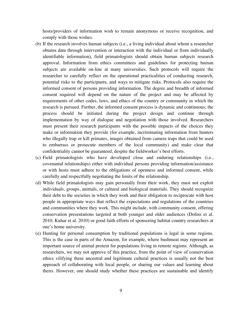hosts/providers of information wish to remain anonymous or receive recognition, and comply with those wishes.

- (b) If the research involves human subjects (i.e., a living individual about whom a researcher obtains data through intervention or interaction with the individual or from individually identifiable information), field primatologists should obtain human subjects research approval. Information from ethics committees and guidelines for protecting human subjects are available on-line at many universities. Such protocols will require the researcher to carefully reflect on the operational practicalities of conducting research, potential risks to the participants, and ways to mitigate risks. Protocols also require the informed consent of persons providing information. The degree and breadth of informed consent required will depend on the nature of the project and may be affected by requirements of other codes, laws, and ethics of the country or community in which the research is pursued. Further, the informed consent process is dynamic and continuous; the process should be initiated during the project design and continue through implementation by way of dialogue and negotiation with those involved. Researchers must present their research participants with the possible impacts of the choices they make or information they provide (for example, incriminating information from hunters who illegally trap or kill primates, images obtained from camera traps that could be used to embarrass or prosecute members of the local community) and make clear that confidentiality cannot be guaranteed, despite the fieldworker's best efforts.
- (c) Field primatologists who have developed close and enduring relationships (i.e., covenantal relationships) either with individual persons providing information/assistance or with hosts must adhere to the obligations of openness and informed consent, while carefully and respectfully negotiating the limits of the relationship.
- (d) While field primatologists may gain personally from their work, they must not exploit individuals, groups, animals, or cultural and biological materials. They should recognize their debt to the societies in which they work and their obligation to reciprocate with host people in appropriate ways that reflect the expectations and regulations of the countries and communities where they work. This might include, with community consent, offering conservation presentations targeted at both younger and older audiences (Dolins et al. 2010; Kuhar et al. 2010) or good faith efforts of sponsoring habitat country researchers at one's home university.
- (e) Hunting for personal consumption by traditional populations is legal in some regions. This is the case in parts of the Amazon, for example, where bushmeat may represent an important source of animal protein for populations living in remote regions. Although, as researchers, we may not approve of this practice, from the point of view of conservation ethics vilifying these ancestral and legitimate cultural practices is usually not the best approach of collaborating with local people, or sharing our values and learning about theirs. However, one should study whether these practices are sustainable and identify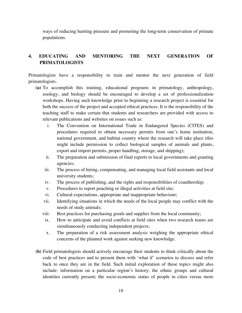ways of reducing hunting pressure and promoting the long-term conservation of primate populations.

# **4. EDUCATING AND MENTORING THE NEXT GENERATION OF PRIMATOLOGISTS**

Primatologists have a responsibility to train and mentor the next generation of field primatologists.

- **(a)** To accomplish this training, educational programs in primatology, anthropology, zoology, and biology should be encouraged to develop a set of professionalization workshops. Having such knowledge prior to beginning a research project is essential for both the success of the project and accepted ethical practices. It is the responsibility of the teaching staff to make certain that students and researchers are provided with access to relevant publications and websites on issues such as:
	- i. The Convention on International Trade in Endangered Species (CITES) and procedures required to obtain necessary permits from one's home institution, national government, and habitat country where the research will take place (this might include permission to collect biological samples of animals and plants, export and import permits, proper handling, storage, and shipping);
	- ii. The preparation and submission of final reports to local governments and granting agencies;
	- iii. The process of hiring, compensating, and managing local field assistants and local university students;
	- iv. The process of publishing, and the rights and responsibilities of coauthorship;
	- v. Procedures to report poaching or illegal activities at field site;
	- vi. Cultural expectations, appropriate and inappropriate behaviour;
	- vii. Identifying situations in which the needs of the local people may conflict with the needs of study animals;
	- viii. Best practices for purchasing goods and supplies from the local community;
	- ix. How to anticipate and avoid conflicts at field sites when two research teams are simultaneously conducting independent projects;
	- x. The preparation of a risk assessment analysis weighing the appropriate ethical concerns of the planned work against seeking new knowledge.
- **(b)** Field primatologists should actively encourage their students to think critically about the code of best practices and to present them with 'what if' scenarios to discuss and refer back to once they are in the field. Such initial exploration of these topics might also include: information on a particular region's history; the ethnic groups and cultural identities currently present; the socio-economic status of people in cities versus more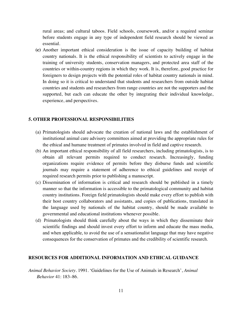rural areas; and cultural taboos. Field schools, coursework, and/or a required seminar before students engage in any type of independent field research should be viewed as essential.

**(c)** Another important ethical consideration is the issue of capacity building of habitat country nationals. It is the ethical responsibility of scientists to actively engage in the training of university students, conservation managers, and protected area staff of the countries or within-country regions in which they work. It is, therefore, good practice for foreigners to design projects with the potential roles of habitat country nationals in mind. In doing so it is critical to understand that students and researchers from outside habitat countries and students and researchers from range countries are not the supporters and the supported, but each can educate the other by integrating their individual knowledge, experience, and perspectives.

#### **5. OTHER PROFESSIONAL RESPONSIBILITIES**

- (a) Primatologists should advocate the creation of national laws and the establishment of institutional animal care advisory committees aimed at providing the appropriate rules for the ethical and humane treatment of primates involved in field and captive research.
- (b) An important ethical responsibility of all field researchers, including primatologists, is to obtain all relevant permits required to conduct research. Increasingly, funding organizations require evidence of permits before they disburse funds and scientific journals may require a statement of adherence to ethical guidelines and receipt of required research permits prior to publishing a manuscript.
- (c) Dissemination of information is critical and research should be published in a timely manner so that the information is accessible to the primatological community and habitat country institutions. Foreign field primatologists should make every effort to publish with their host country collaborators and assistants, and copies of publications, translated in the language used by nationals of the habitat country, should be made available to governmental and educational institutions whenever possible.
- (d) Primatologists should think carefully about the ways in which they disseminate their scientific findings and should invest every effort to inform and educate the mass media, and when applicable, to avoid the use of a sensationalist language that may have negative consequences for the conservation of primates and the credibility of scientific research.

#### **RESOURCES FOR ADDITIONAL INFORMATION AND ETHICAL GUIDANCE**

*Animal Behavior Society*. 1991. 'Guidelines for the Use of Animals in Research', *Animal Behavior* 41: 183–86.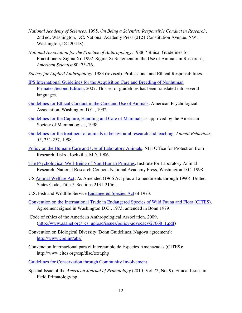- *National Academy of Sciences*. 1995. *On Being a Scientist: Responsible Conduct in Research*, 2nd ed. Washington, DC: National Academy Press (2121 Constitution Avenue, NW, Washington, DC 20418).
- *National Association for the Practice of Anthropology*. 1988. 'Ethical Guidelines for Practitioners. Sigma Xi. 1992. Sigma Xi Statement on the Use of Animals in Research', *American Scientist* 80: 73–76.
- *Society for Applied Anthropology*. 1983 (revised). Professional and Ethical Responsibilities.
- IPS International Guidelines for the Acquisition Care and Breeding of Nonhuman Primates,Second Edition. 2007. This set of guidelines has been translated into several languages.
- Guidelines for Ethical Conduct in the Care and Use of Animals. American Psychological Association, Washington D.C., 1992.
- Guidelines for the Capture, Handling and Care of Mammals as approved by the American Society of Mammalogists, 1998.
- Guidelines for the treatment of animals in behavioural research and teaching. *Animal Behaviour, 55*, 251-257, 1998.
- Policy on the Humane Care and Use of Laboratory Animals. NIH Office for Protection from Research Risks, Rockville, MD, 1986.
- The Psychological Well-Being of Non-Human Primates. Institute for Laboratory Animal Research, National Research Council. National Academy Press, Washington D.C. 1998.
- US Animal Welfare Act, As Amended (1966 Act plus all amendments through 1990). United States Code, Title 7, Sections 2131-2156.
- U.S. Fish and Wildlife Service Endangered Species Act of 1973.
- Convention on the International Trade in Endangered Species of Wild Fauna and Flora (CITES). Agreement signed in Washington D.C., 1973; amended in Bonn 1979.
- Code of ethics of the American Anthropological Association. 2009. (http://www.aaanet.org/\_cs\_upload/issues/policy-advocacy/27668\_1.pdf)
- Convention on Biological Diversity (Bonn Guidelines, Nagoya agreement): http://www.cbd.int/abs/
- Convención Internacional para el Intercambio de Especies Amenazadas (CITES): http://www.cites.org/esp/disc/text.php
- Guidelines for Conservation through Community Involvement
- Special Issue of the *American Journal of Primatology* (2010, Vol 72, No. 9). Ethical Issues in Field Primatology pp.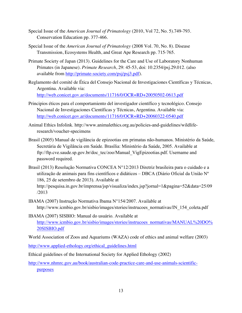- Special Issue of the *American Journal of Primatology* (2010, Vol 72, No. 5).749-793. Conservation Education pp. 377-466.
- Special Issue of the *American Journal of Primatology* (2008 Vol. 70, No. 8). Disease Transmission, Ecosystems Health, and Great Ape Research pp. 715-765.
- Primate Society of Japan (2013). Guidelines for the Care and Use of Laboratory Nonhuman Primates (in Japanese). *Primate Research*, 29: 45-53, doi: 10.2354/psj.29.012. (also available from http://primate-society.com/psj/psj3.pdf).
- Reglamento del comité de Ética del Consejo Nacional de Investigaciones Científicas y Técnicas, Argentina. Available via: http://web.conicet.gov.ar/documents/11716/0/OCR+RD+20050502-0613.pdf
- Principios éticos para el comportamiento del investigador científico y tecnológico. Consejo Nacional de Investigaciones Científicas y Técnicas, Argentina. Available via: http://web.conicet.gov.ar/documents/11716/0/OCR+RD+20060322-0540.pdf
- Animal Ethics Infolink. http://www.animalethics.org.au/policies-and-guidelines/wildliferesearch/voucher-specimens
- Brasil (2005) Manual de vigilância de epizootias em primatas não-humanos. Ministério da Saúde, Secretária de Vigilância em Saúde. Brasília: Ministério da Saúde, 2005. Available at ftp://ftp.cve.saude.sp.gov.br/doc\_tec/zoo/Manual\_VigEpizootias.pdf. Username and password required.
- Brasil (2013) Resolução Normativa CONCEA N°12/2013 Diretriz brasileira para o cuidado e a utilização de animais para fins científicos e didáticos – DBCA (Diário Oficial da União Nº 186, 25 de setembro de 2013). Available at http://pesquisa.in.gov.br/imprensa/jsp/visualiza/index.jsp?jornal=1&pagina=52&data=25/09 /2013
- IBAMA (2007) Instrução Normativa Ibama N°154/2007. Available at http://www.icmbio.gov.br/sisbio/images/stories/instrucoes\_normativas/IN\_154\_coleta.pdf
- IBAMA (2007) SISBIO: Manual do usuário. Available at http://www.icmbio.gov.br/sisbio/images/stories/instrucoes\_normativas/MANUAL%20DO% 20SISBIO.pdf

World Association of Zoos and Aquariums (WAZA) code of ethics and animal welfare (2003)

http://www.applied-ethology.org/ethical\_guidelines.html

Ethical guidelines of the International Society for Applied Ethology (2002)

http://www.nhmrc.gov.au/book/australian-code-practice-care-and-use-animals-scientificpurposes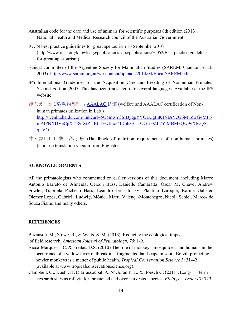- Australian code for the care and use of animals for scientific purposes 8th edition (2013). National Health and Medical Research council of the Australian Government
- IUCN best practice guidelines for great ape tourism 16 September 2010 (http://www.iucn.org/knowledge/publications\_doc/publications/?6052/Best-practice-guidelinesfor-great-ape-tourism)
- Ethical committee of the Argentine Society for Mammalian Studies (SAREM; Giannoni et al., 2003). http://www.sarem.org.ar/wp-content/uploads/2014/04/Etica-SAREM.pdf
- IPS International Guidelines for the Acquisition Care and Breeding of Nonhuman Primates, Second Edition. 2007. This has been translated into several languages. Available at the IPS website.
- 非人灵长类实验动物福利与 AAALAC 认证 (welfare and AAALAC certification of Nonhuman primates utilization in Lab ) http://wenku.baidu.com/link?url=5U5mwY3SIByqpYVGLCgIhKT8IAYzG6MvZwG4MPb mAlPNXDVeCpXT58qXtZUELrlFwfi-xe4lDpb8SLLOG1c0ZL7YtMBM3Qw9yXlwQSqLVO
- 非人灵口口口物口养手册 (Handbook of nutrition requirements of non-human primates) (Chinese translation version from English)

# **ACKNOWLEDGMENTS**

All the primatologists who commented on earlier versions of this document, including Marco Antonio Barreto de Almeida, Gerson Buss, Danielle Camaratta, Óscar M. Chave, Andrew Fowler, Gabriela Pacheco Hass, Leandro Jerusalinsky, Plautino Laroque, Karine Galisteo Diemer Lopes, Gabriela Ludwig, Mônica Mafra Valença-Montenegro, Nicola Schiel, Marcos de Souza Fialho and many others.

#### **REFERENCES**

Bezanson, M., Stowe, R., & Watts, S. M. (2013). Reducing the ecological impact

of field research. *American Journal of Primatology, 75*: 1-9.

- Bicca-Marques, J.C. & Freitas, D.S. (2010) The role of monkeys, mosquitoes, and humans in the occurrence of a yellow fever outbreak in a fragmented landscape in south Brazil: protecting howler monkeys is a matter of public health. *Tropical Conservation Science* 3: 31-42 (available at www.tropicalconservationscience.org).
- Campbell, G., Kuehl, H. Diarrassoubal, A. N'Goran P.K., & Boesch C. (2011). Long- term research sites as refugia for threatened and over-harvested species. *Biology Letters* 7: 723-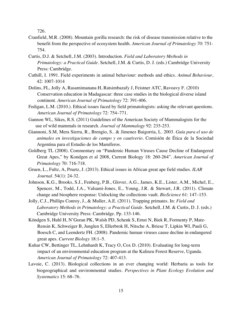726.

- Cranfield, M.R. (2008). Mountain gorilla research: the risk of disease transmission relative to the benefit from the perspective of ecosystem health. *American Journal of Primatology 70*: 751- 754.
- Curtis, D.J. & Setchell, J.M. (2003). Introduction. *Field and Laboratory Methods in Primatology: a Practical Guide*. Setchell, J.M. & Curtis, D. J. (eds.) Cambridge University Press: Cambridge.
- Cuthill, I. 1991. Field experiments in animal behaviour: methods and ethics. *Animal Behaviour*, 42: 1007-1014
- Dolins, FL, Jolly A, Rasamimanana H, Ratsimbazafy J, Feistner ATC, Ravoavy F. (2010) Conservation education in Madagascar: three case studies in the biological diverse island continent. *American Journal of Primatology* 72: 391-406.
- Fedigan, L.M. (2010.). Ethical issues faced by field primatologists: asking the relevant questions. *American Journal of Primatology* 72: 754–771.
- Gannon WL, Sikes, R.S. (2011) Guidelines of the American Society of Mammalogists for the use of wild mammals in research. *Journal of Mammalogy* 92: 235-253.
- Giannoni, S.M, Mera Sierra, R., Brengio, S.. & Jimenez Baigorria, L. 2003. *Guía para el uso de animales en investigaciones de campo y en cautiverio.* Comisión de Ética de la Sociedad Argentina para el Estudio de los Mamíferos.
- Goldberg TL (2008). Commentary on "Pandemic Human Viruses Cause Decline of Endangered Great Apes," by Kondgen et al 2008, Current Biology 18: 260-264". *American Journal of Primatology* 70: 716-718.
- Gruen, L., Fultz, A, Pruetz, J. (2013). Ethical issues in African great ape field studies. *ILAR Journal*. 54(1): 24-32.
- Johnson, K.G., Brooks, S.J., Fenberg, P.B., Glover, A.G., James, K.E., Lister, A.M., Michel, E., Spencer, M., Todd, J.A., Valsami-Jones, E., Young, J.R. & Stewart, J.R. (2011). Climate change and biosphere response: Unlocking the collections vault. *BioScience* 61: 147–153.
- Jolly, C.J., Phillips Conroy, J., & Muller, A.E. (2011). Trapping primates. In: *Field and Laboratory Methods in Primatology: a Practical Guide*. Setchell, J.M. & Curtis, D. J. (eds.) Cambridge University Press: Cambridge. Pp. 133-146.
- Köndgen S, Huhl H, N'Goran PK, Walsh PD, Schenk S, Ernst N, Biek R, Formenty P, Matz-Rensin K, Schweiger B, Junglen S, Ellerbrok H, Nitsche A, Briese T, Lipkin WI, Pauli G, Boesch C, and Leendertz FH. (2008). Pandemic human viruses cause decline in endangered great apes. *Current Biology* 18:1–5.
- Kuhar CW, Bettinger TL, Lehnhardt K, Tracy O, Cox D. (2010). Evaluating for long-term impact of an environmental education program at the Kalinzu Forest Reserve, Uganda. *American Journal of Primatology* 72: 407-413.
- Lavoie, C. (2013). Biological collections in an ever changing world: Herbaria as tools for biogeographical and environmental studies. *Perspectives in Plant Ecology Evolution and Systematics* 15: 68–76.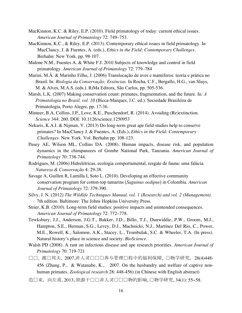- MacKinnon, K.C. & Riley, E.P. (2010). Field primatology of today: current ethical issues. *American Journal of Primatology* 72: 749–753.
- MacKinnon, K.C., & Riley, E.P. (2013). Contemporary ethical issues in field primatology. In MacClancy, J. & Fuentes, A. (eds.), *Ethics in the Field: Contemporary Challenges*. Berhahn: New York. pp. 98-107.
- Malone N.M., Fuentes A. & White F.J. 2010 Subjects of knowledge and control in field primatology. *American Journal of Primatology* 72: 779–784
- Marini, M.Â. & Marinho Filho, J. (2006) Translocação de aves e mamíferos: teoria e prática no Brasil. In: *Biologia da Conservação; Essências*. In Rocha, C.F., Bergallo, H.G., van Sluys, M. & Alves, M.A.S. (eds.). RiMa Editora, São Carlos, pp. 505-536.
- Marsh, L.K. (2007) Making conservation count: primates, fragmentation, and the future. In: *A Primatologia no Brasil, vol. 10* (Bicca-Marques, J.C. ed.). Sociedade Brasileira de Primatologia, Porto Alegre, pp. 17-36.
- Minteer, B.A, Collins, J.P., Love, K.E., Puschendorf, R. (2014). Avoiding (Re)extinction. *Science* 344: 260. DOI: 10.1126/science.1250953
- Nekaris, K.A.I. & Nijman, V. (2013) Do long-term great ape field studies help to conserve primates? In MacClancy J. & Fuentes, A. (Eds.), *Ethics in the Field: Contemporary Challenges*. New York. Vol. Berhahn pp. 108-123.
- Pusey AE, Wilson ML, Collins DA. (2008). Human impacts, disease risk, and population dynamics in the chimpanzees of Gombe National Park, Tanzania. *American Journal of Primatology* 70: 738-744.
- Rodrigues, M. (2006) Hidrelétricas, ecologia comportamental, resgate de fauna: uma falácia. *Natureza & Conservação* 4: 29-38.
- Savage A, Guillen R, Lamilla I, Soto L. (2010). Developing an effective community conservation program for cotton-top tamarins (*Saguinus oedipus*) in Colombia. *American Journal of Primatology* 72: 379-390.
- Silvy, J. N. (2012) *The Wildlife Techniques Manual, vol. 1 (Research) and vol. 2 (Management).* 7th edition. Baltimore: The Johns Hopkins University Press.
- Strier, K.B. (2010). Long-term field studies: positive impacts and unintended consequences. *American Journal of Primatology* 72: 772–778.
- Tewksbury, J.J., Anderson, J.G.T., Bakker, J.D., Billo, T.J., Dunwiddie, P.W., Groom, M.J., Hampton, S.E., Herman, S.G., Levey, D.J., Machnicki, N.J., Martínez Del Rio, C., Power, M.E., Rowell, K., Salomon, A.K., Stacey, L., Trombulak, S.C. & Wheeler, T.A. (In press). Natural history's place in science and society. *BioScience*.
- Walsh PD (2008). A rant on infectious disease and ape research priorities. *American Journal of Primatology* 70: 719-721
- 口口, 渡口邦夫, 2007,非人灵口口口养与管理口程中的福利保障, 口物学研究, 28(4)448-456 (Zhang, P.,& Watanabe, K., 2007. On the husbandry and welfare of captive nonhuman primates. *Zoological research* 28: 448-456) (in Chinese with English abstract)
- 范□来, 向左甫, 2013, 旅游干□□非人灵□□□物的影响, □物学研究, 34(1): 55−58.